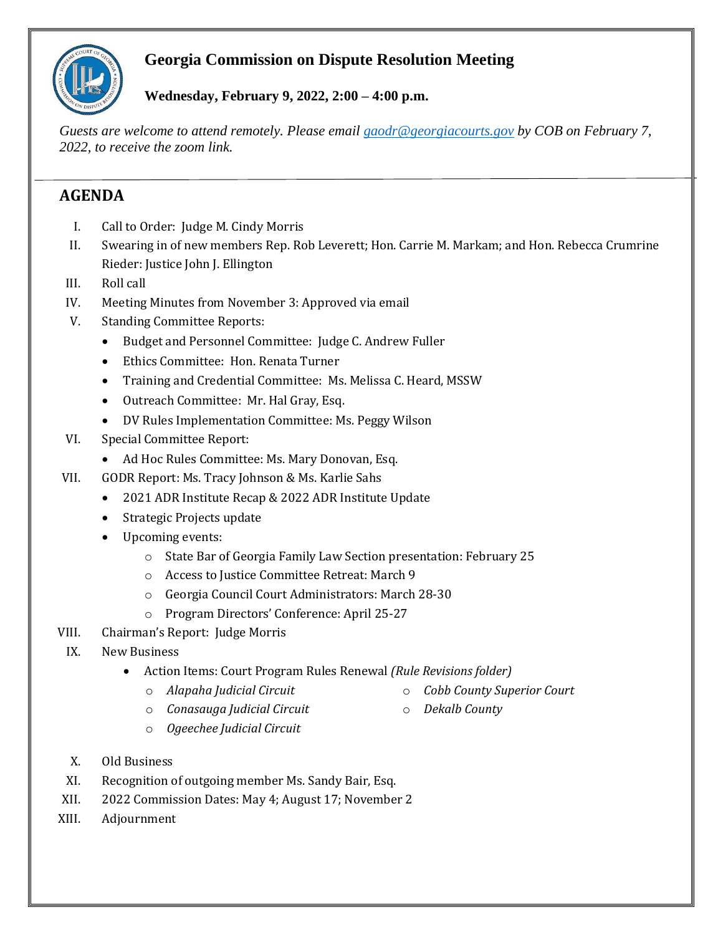

## **Georgia Commission on Dispute Resolution Meeting**

**Wednesday, February 9, 2022, 2:00 – 4:00 p.m.**

*Guests are welcome to attend remotely. Please email [gaodr@georgiacourts.gov](mailto:gaodr@georgiacourts.gov) by COB on February 7, 2022, to receive the zoom link.*

# **AGENDA**

- I. Call to Order: Judge M. Cindy Morris
- II. Swearing in of new members Rep. Rob Leverett; Hon. Carrie M. Markam; and Hon. Rebecca Crumrine Rieder: Justice John J. Ellington
- III. Roll call
- IV. Meeting Minutes from November 3: Approved via email
- V. Standing Committee Reports:
	- Budget and Personnel Committee: Judge C. Andrew Fuller
	- Ethics Committee: Hon. Renata Turner
	- Training and Credential Committee: Ms. Melissa C. Heard, MSSW
	- Outreach Committee: Mr. Hal Gray, Esq.
	- DV Rules Implementation Committee: Ms. Peggy Wilson
- VI. Special Committee Report:
	- Ad Hoc Rules Committee: Ms. Mary Donovan, Esq.
- VII. GODR Report: Ms. Tracy Johnson & Ms. Karlie Sahs
	- 2021 ADR Institute Recap & 2022 ADR Institute Update
	- Strategic Projects update
	- Upcoming events:
		- o State Bar of Georgia Family Law Section presentation: February 25
		- o Access to Justice Committee Retreat: March 9
		- o Georgia Council Court Administrators: March 28-30
		- o Program Directors' Conference: April 25-27
- VIII. Chairman's Report: Judge Morris
- IX. New Business
	- Action Items: Court Program Rules Renewal *(Rule Revisions folder)*
		-
		- o *Alapaha Judicial Circuit* o *Cobb County Superior Court*
		- o *Conasauga Judicial Circuit*
- o *Dekalb County*
- o *Ogeechee Judicial Circuit*
- X. Old Business
- XI. Recognition of outgoing member Ms. Sandy Bair, Esq.
- XII. 2022 Commission Dates: May 4; August 17; November 2
- XIII. Adjournment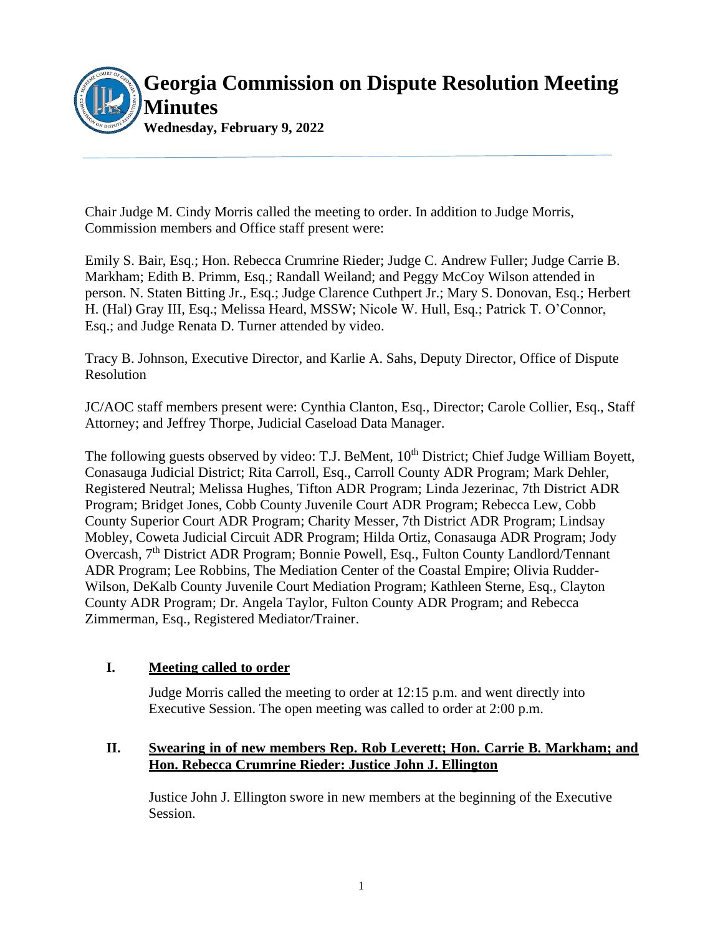

Chair Judge M. Cindy Morris called the meeting to order. In addition to Judge Morris, Commission members and Office staff present were:

Emily S. Bair, Esq.; Hon. Rebecca Crumrine Rieder; Judge C. Andrew Fuller; Judge Carrie B. Markham; Edith B. Primm, Esq.; Randall Weiland; and Peggy McCoy Wilson attended in person. N. Staten Bitting Jr., Esq.; Judge Clarence Cuthpert Jr.; Mary S. Donovan, Esq.; Herbert H. (Hal) Gray III, Esq.; Melissa Heard, MSSW; Nicole W. Hull, Esq.; Patrick T. O'Connor, Esq.; and Judge Renata D. Turner attended by video.

Tracy B. Johnson, Executive Director, and Karlie A. Sahs, Deputy Director, Office of Dispute Resolution

JC/AOC staff members present were: Cynthia Clanton, Esq., Director; Carole Collier, Esq., Staff Attorney; and Jeffrey Thorpe, Judicial Caseload Data Manager.

The following guests observed by video: T.J. BeMent, 10<sup>th</sup> District; Chief Judge William Boyett, Conasauga Judicial District; Rita Carroll, Esq., Carroll County ADR Program; Mark Dehler, Registered Neutral; Melissa Hughes, Tifton ADR Program; Linda Jezerinac, 7th District ADR Program; Bridget Jones, Cobb County Juvenile Court ADR Program; Rebecca Lew, Cobb County Superior Court ADR Program; Charity Messer, 7th District ADR Program; Lindsay Mobley, Coweta Judicial Circuit ADR Program; Hilda Ortiz, Conasauga ADR Program; Jody Overcash, 7th District ADR Program; Bonnie Powell, Esq., Fulton County Landlord/Tennant ADR Program; Lee Robbins, The Mediation Center of the Coastal Empire; Olivia Rudder-Wilson, DeKalb County Juvenile Court Mediation Program; Kathleen Sterne, Esq., Clayton County ADR Program; Dr. Angela Taylor, Fulton County ADR Program; and Rebecca Zimmerman, Esq., Registered Mediator/Trainer.

## **I. Meeting called to order**

Judge Morris called the meeting to order at 12:15 p.m. and went directly into Executive Session. The open meeting was called to order at 2:00 p.m.

## **II. Swearing in of new members Rep. Rob Leverett; Hon. Carrie B. Markham; and Hon. Rebecca Crumrine Rieder: Justice John J. Ellington**

Justice John J. Ellington swore in new members at the beginning of the Executive Session.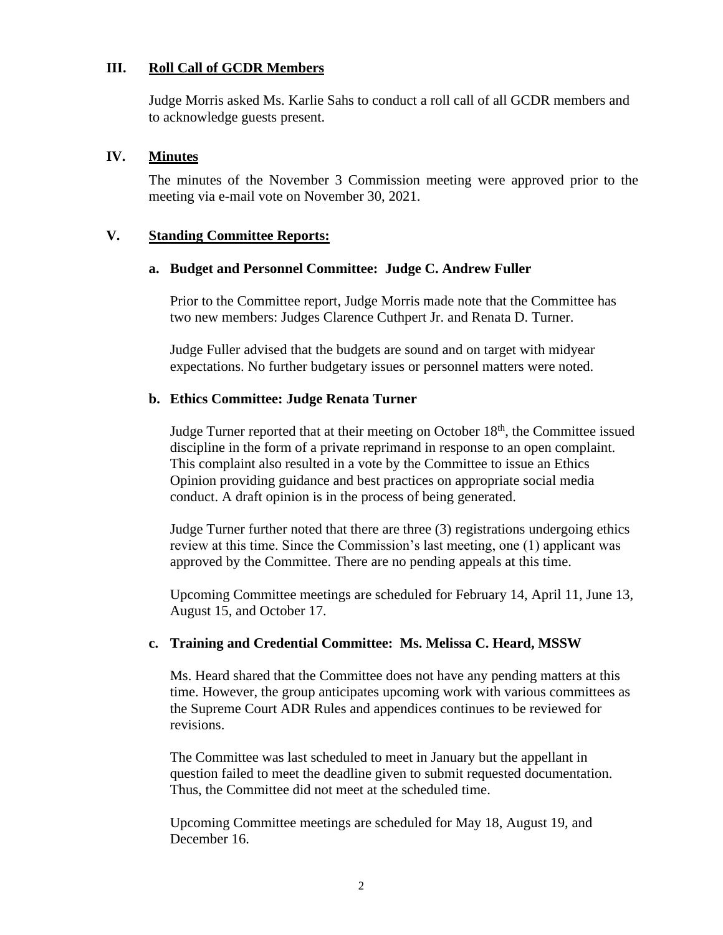#### **III. Roll Call of GCDR Members**

Judge Morris asked Ms. Karlie Sahs to conduct a roll call of all GCDR members and to acknowledge guests present.

#### **IV. Minutes**

The minutes of the November 3 Commission meeting were approved prior to the meeting via e-mail vote on November 30, 2021.

#### **V. Standing Committee Reports:**

#### **a. Budget and Personnel Committee: Judge C. Andrew Fuller**

Prior to the Committee report, Judge Morris made note that the Committee has two new members: Judges Clarence Cuthpert Jr. and Renata D. Turner.

Judge Fuller advised that the budgets are sound and on target with midyear expectations. No further budgetary issues or personnel matters were noted.

#### **b. Ethics Committee: Judge Renata Turner**

Judge Turner reported that at their meeting on October  $18<sup>th</sup>$ , the Committee issued discipline in the form of a private reprimand in response to an open complaint. This complaint also resulted in a vote by the Committee to issue an Ethics Opinion providing guidance and best practices on appropriate social media conduct. A draft opinion is in the process of being generated.

Judge Turner further noted that there are three (3) registrations undergoing ethics review at this time. Since the Commission's last meeting, one (1) applicant was approved by the Committee. There are no pending appeals at this time.

Upcoming Committee meetings are scheduled for February 14, April 11, June 13, August 15, and October 17.

#### **c. Training and Credential Committee: Ms. Melissa C. Heard, MSSW**

Ms. Heard shared that the Committee does not have any pending matters at this time. However, the group anticipates upcoming work with various committees as the Supreme Court ADR Rules and appendices continues to be reviewed for revisions.

The Committee was last scheduled to meet in January but the appellant in question failed to meet the deadline given to submit requested documentation. Thus, the Committee did not meet at the scheduled time.

Upcoming Committee meetings are scheduled for May 18, August 19, and December 16.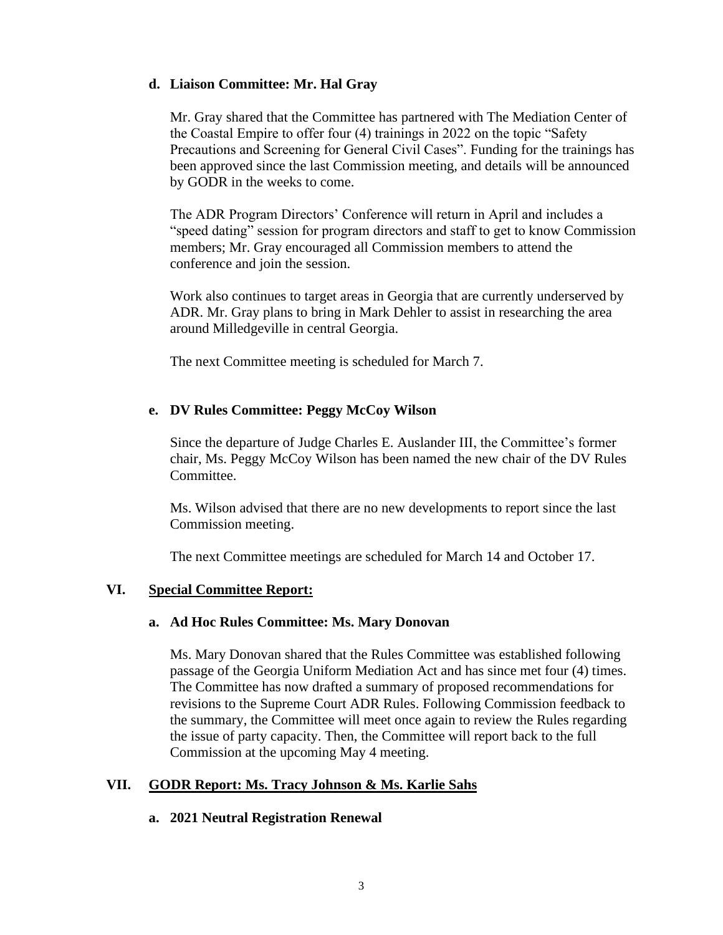#### **d. Liaison Committee: Mr. Hal Gray**

Mr. Gray shared that the Committee has partnered with The Mediation Center of the Coastal Empire to offer four (4) trainings in 2022 on the topic "Safety Precautions and Screening for General Civil Cases". Funding for the trainings has been approved since the last Commission meeting, and details will be announced by GODR in the weeks to come.

The ADR Program Directors' Conference will return in April and includes a "speed dating" session for program directors and staff to get to know Commission members; Mr. Gray encouraged all Commission members to attend the conference and join the session.

Work also continues to target areas in Georgia that are currently underserved by ADR. Mr. Gray plans to bring in Mark Dehler to assist in researching the area around Milledgeville in central Georgia.

The next Committee meeting is scheduled for March 7.

## **e. DV Rules Committee: Peggy McCoy Wilson**

Since the departure of Judge Charles E. Auslander III, the Committee's former chair, Ms. Peggy McCoy Wilson has been named the new chair of the DV Rules Committee.

Ms. Wilson advised that there are no new developments to report since the last Commission meeting.

The next Committee meetings are scheduled for March 14 and October 17.

## **VI. Special Committee Report:**

#### **a. Ad Hoc Rules Committee: Ms. Mary Donovan**

Ms. Mary Donovan shared that the Rules Committee was established following passage of the Georgia Uniform Mediation Act and has since met four (4) times. The Committee has now drafted a summary of proposed recommendations for revisions to the Supreme Court ADR Rules. Following Commission feedback to the summary, the Committee will meet once again to review the Rules regarding the issue of party capacity. Then, the Committee will report back to the full Commission at the upcoming May 4 meeting.

## **VII. GODR Report: Ms. Tracy Johnson & Ms. Karlie Sahs**

## **a. 2021 Neutral Registration Renewal**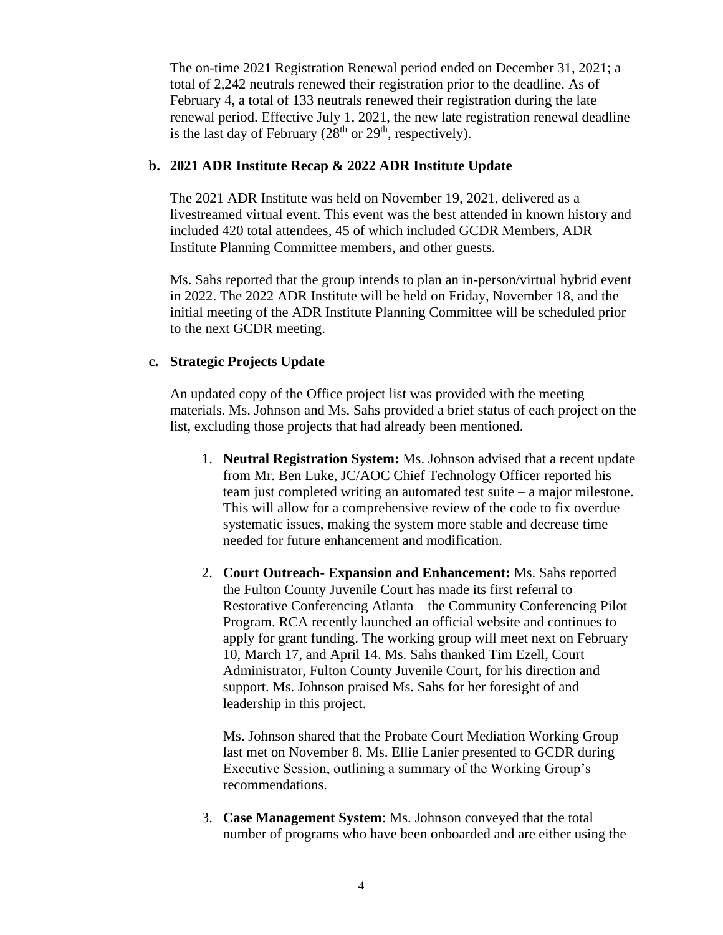The on-time 2021 Registration Renewal period ended on December 31, 2021; a total of 2,242 neutrals renewed their registration prior to the deadline. As of February 4, a total of 133 neutrals renewed their registration during the late renewal period. Effective July 1, 2021, the new late registration renewal deadline is the last day of February  $(28<sup>th</sup>$  or  $29<sup>th</sup>$ , respectively).

#### **b. 2021 ADR Institute Recap & 2022 ADR Institute Update**

The 2021 ADR Institute was held on November 19, 2021, delivered as a livestreamed virtual event. This event was the best attended in known history and included 420 total attendees, 45 of which included GCDR Members, ADR Institute Planning Committee members, and other guests.

Ms. Sahs reported that the group intends to plan an in-person/virtual hybrid event in 2022. The 2022 ADR Institute will be held on Friday, November 18, and the initial meeting of the ADR Institute Planning Committee will be scheduled prior to the next GCDR meeting.

#### **c. Strategic Projects Update**

An updated copy of the Office project list was provided with the meeting materials. Ms. Johnson and Ms. Sahs provided a brief status of each project on the list, excluding those projects that had already been mentioned.

- 1. **Neutral Registration System:** Ms. Johnson advised that a recent update from Mr. Ben Luke, JC/AOC Chief Technology Officer reported his team just completed writing an automated test suite – a major milestone. This will allow for a comprehensive review of the code to fix overdue systematic issues, making the system more stable and decrease time needed for future enhancement and modification.
- 2. **Court Outreach- Expansion and Enhancement:** Ms. Sahs reported the Fulton County Juvenile Court has made its first referral to Restorative Conferencing Atlanta – the Community Conferencing Pilot Program. RCA recently launched an official website and continues to apply for grant funding. The working group will meet next on February 10, March 17, and April 14. Ms. Sahs thanked Tim Ezell, Court Administrator, Fulton County Juvenile Court, for his direction and support. Ms. Johnson praised Ms. Sahs for her foresight of and leadership in this project.

Ms. Johnson shared that the Probate Court Mediation Working Group last met on November 8. Ms. Ellie Lanier presented to GCDR during Executive Session, outlining a summary of the Working Group's recommendations.

3. **Case Management System**: Ms. Johnson conveyed that the total number of programs who have been onboarded and are either using the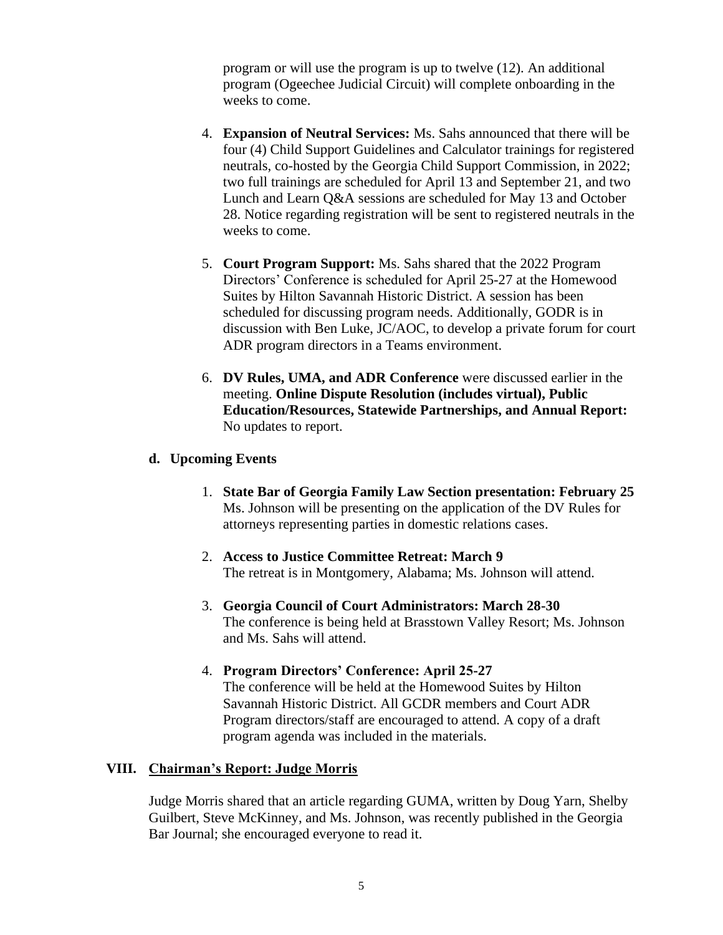program or will use the program is up to twelve (12). An additional program (Ogeechee Judicial Circuit) will complete onboarding in the weeks to come.

- 4. **Expansion of Neutral Services:** Ms. Sahs announced that there will be four (4) Child Support Guidelines and Calculator trainings for registered neutrals, co-hosted by the Georgia Child Support Commission, in 2022; two full trainings are scheduled for April 13 and September 21, and two Lunch and Learn Q&A sessions are scheduled for May 13 and October 28. Notice regarding registration will be sent to registered neutrals in the weeks to come.
- 5. **Court Program Support:** Ms. Sahs shared that the 2022 Program Directors' Conference is scheduled for April 25-27 at the Homewood Suites by Hilton Savannah Historic District. A session has been scheduled for discussing program needs. Additionally, GODR is in discussion with Ben Luke, JC/AOC, to develop a private forum for court ADR program directors in a Teams environment.
- 6. **DV Rules, UMA, and ADR Conference** were discussed earlier in the meeting. **Online Dispute Resolution (includes virtual), Public Education/Resources, Statewide Partnerships, and Annual Report:** No updates to report.

### **d. Upcoming Events**

- 1. **State Bar of Georgia Family Law Section presentation: February 25** Ms. Johnson will be presenting on the application of the DV Rules for attorneys representing parties in domestic relations cases.
- 2. **Access to Justice Committee Retreat: March 9** The retreat is in Montgomery, Alabama; Ms. Johnson will attend.
- 3. **Georgia Council of Court Administrators: March 28-30** The conference is being held at Brasstown Valley Resort; Ms. Johnson and Ms. Sahs will attend.
- 4. **Program Directors' Conference: April 25-27** The conference will be held at the Homewood Suites by Hilton Savannah Historic District. All GCDR members and Court ADR Program directors/staff are encouraged to attend. A copy of a draft program agenda was included in the materials.

#### **VIII. Chairman's Report: Judge Morris**

Judge Morris shared that an article regarding GUMA, written by Doug Yarn, Shelby Guilbert, Steve McKinney, and Ms. Johnson, was recently published in the Georgia Bar Journal; she encouraged everyone to read it.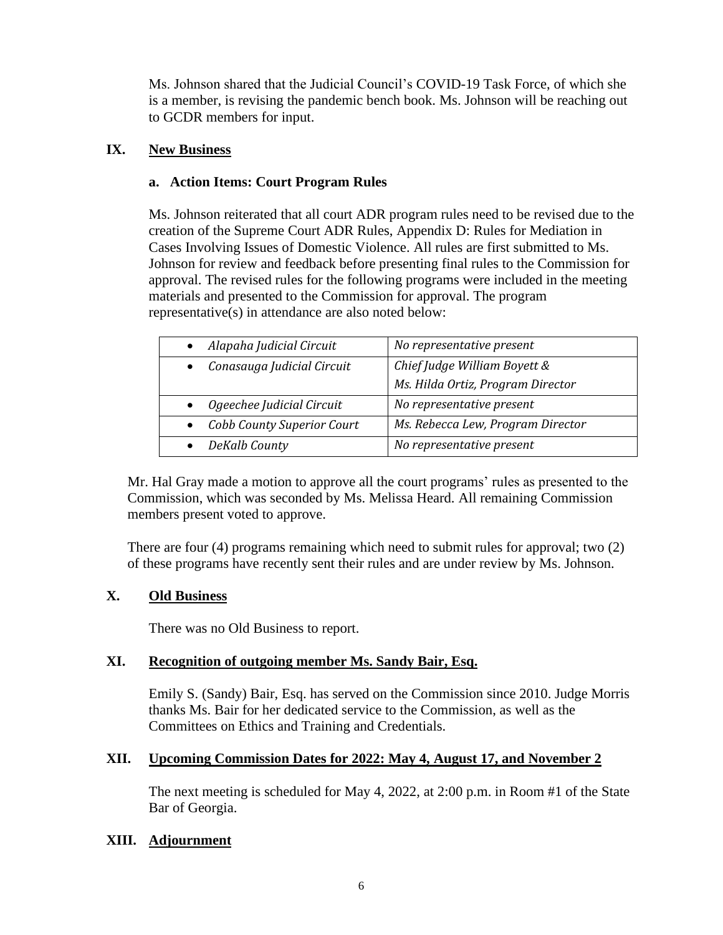Ms. Johnson shared that the Judicial Council's COVID-19 Task Force, of which she is a member, is revising the pandemic bench book. Ms. Johnson will be reaching out to GCDR members for input.

## **IX. New Business**

## **a. Action Items: Court Program Rules**

Ms. Johnson reiterated that all court ADR program rules need to be revised due to the creation of the Supreme Court ADR Rules, Appendix D: Rules for Mediation in Cases Involving Issues of Domestic Violence. All rules are first submitted to Ms. Johnson for review and feedback before presenting final rules to the Commission for approval. The revised rules for the following programs were included in the meeting materials and presented to the Commission for approval. The program representative(s) in attendance are also noted below:

| Alapaha Judicial Circuit          | No representative present         |
|-----------------------------------|-----------------------------------|
| Conasauga Judicial Circuit        | Chief Judge William Boyett &      |
|                                   | Ms. Hilda Ortiz, Program Director |
| Ogeechee Judicial Circuit         | No representative present         |
| <b>Cobb County Superior Court</b> | Ms. Rebecca Lew, Program Director |
| DeKalb County                     | No representative present         |

Mr. Hal Gray made a motion to approve all the court programs' rules as presented to the Commission, which was seconded by Ms. Melissa Heard. All remaining Commission members present voted to approve.

There are four (4) programs remaining which need to submit rules for approval; two (2) of these programs have recently sent their rules and are under review by Ms. Johnson.

## **X. Old Business**

There was no Old Business to report.

## **XI. Recognition of outgoing member Ms. Sandy Bair, Esq.**

Emily S. (Sandy) Bair, Esq. has served on the Commission since 2010. Judge Morris thanks Ms. Bair for her dedicated service to the Commission, as well as the Committees on Ethics and Training and Credentials.

## **XII. Upcoming Commission Dates for 2022: May 4, August 17, and November 2**

The next meeting is scheduled for May 4, 2022, at 2:00 p.m. in Room #1 of the State Bar of Georgia.

#### **XIII. Adjournment**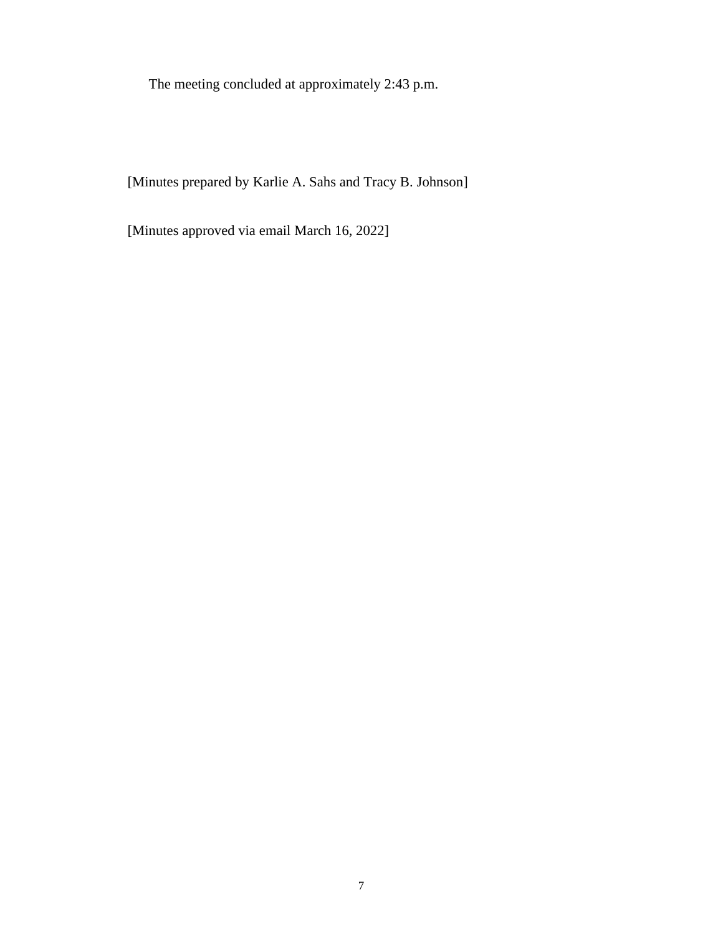The meeting concluded at approximately 2:43 p.m.

[Minutes prepared by Karlie A. Sahs and Tracy B. Johnson]

[Minutes approved via email March 16, 2022]